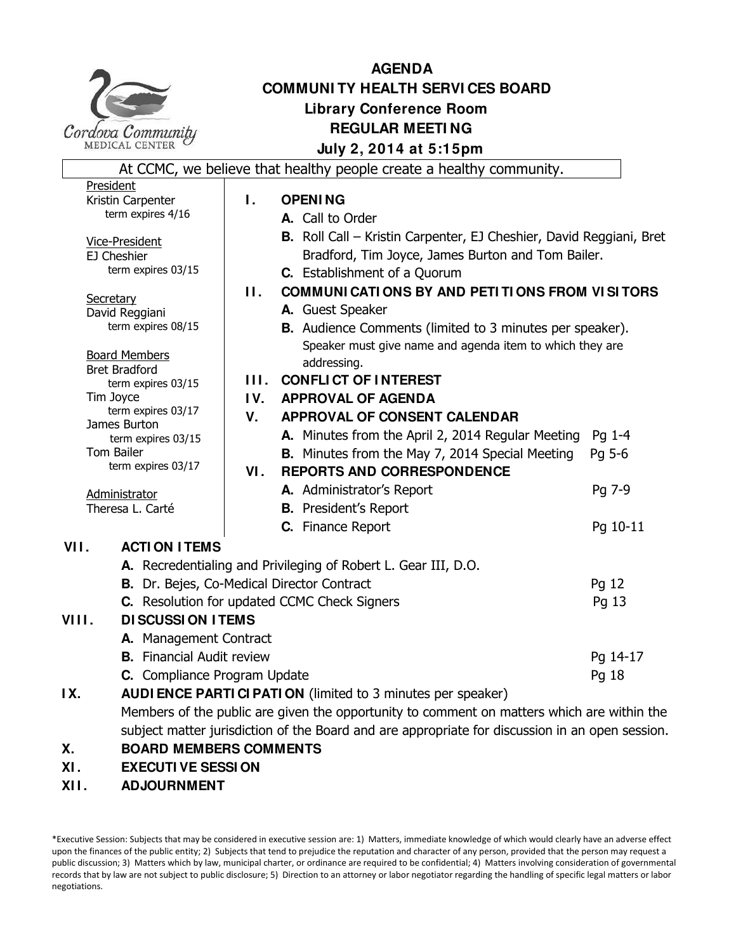

# **AGENDA COMMUNI TY HEALTH SERVI CES BOARD Library Conference Room REGULAR MEETI NG July 2, 2014 at 5:15pm** At CCMC, we believe that healthy people create a healthy community.

|                                                                                            |                                                               |         | At CCPIC, we believe that healthy people create a healthy community. |          |
|--------------------------------------------------------------------------------------------|---------------------------------------------------------------|---------|----------------------------------------------------------------------|----------|
| President                                                                                  |                                                               |         |                                                                      |          |
| Kristin Carpenter                                                                          |                                                               | Τ.      | <b>OPENING</b>                                                       |          |
| term expires 4/16                                                                          |                                                               |         | A. Call to Order                                                     |          |
| <b>Vice-President</b>                                                                      |                                                               |         | B. Roll Call - Kristin Carpenter, EJ Cheshier, David Reggiani, Bret  |          |
| EJ Cheshier                                                                                |                                                               |         | Bradford, Tim Joyce, James Burton and Tom Bailer.                    |          |
| term expires 03/15                                                                         |                                                               |         | <b>C.</b> Establishment of a Quorum                                  |          |
| Secretary                                                                                  |                                                               | $\Pi$ . | <b>COMMUNI CATI ONS BY AND PETI TI ONS FROM VISITORS</b>             |          |
|                                                                                            | David Reggiani                                                |         | A. Guest Speaker                                                     |          |
| term expires 08/15                                                                         |                                                               |         | B. Audience Comments (limited to 3 minutes per speaker).             |          |
|                                                                                            |                                                               |         | Speaker must give name and agenda item to which they are             |          |
|                                                                                            | <b>Board Members</b><br><b>Bret Bradford</b>                  |         | addressing.                                                          |          |
|                                                                                            | term expires 03/15                                            |         | <b>III. CONFLICT OF INTEREST</b>                                     |          |
| Tim Joyce                                                                                  |                                                               | IV.     | <b>APPROVAL OF AGENDA</b>                                            |          |
| term expires 03/17                                                                         |                                                               | V.      | APPROVAL OF CONSENT CALENDAR                                         |          |
| James Burton<br>term expires 03/15                                                         |                                                               |         | A. Minutes from the April 2, 2014 Regular Meeting                    | Pg 1-4   |
| Tom Bailer                                                                                 |                                                               |         | <b>B.</b> Minutes from the May 7, 2014 Special Meeting               | Pg 5-6   |
| term expires 03/17                                                                         |                                                               | VI.     | <b>REPORTS AND CORRESPONDENCE</b>                                    |          |
|                                                                                            |                                                               |         | A. Administrator's Report                                            | Pg 7-9   |
| Administrator<br>Theresa L. Carté                                                          |                                                               |         | <b>B.</b> President's Report                                         |          |
|                                                                                            |                                                               |         | C. Finance Report                                                    | Pg 10-11 |
| VII.                                                                                       | <b>ACTI ON ITEMS</b>                                          |         |                                                                      |          |
|                                                                                            |                                                               |         |                                                                      |          |
| B. Dr. Bejes, Co-Medical Director Contract<br>C. Resolution for updated CCMC Check Signers |                                                               |         | A. Recredentialing and Privileging of Robert L. Gear III, D.O.       |          |
|                                                                                            |                                                               |         |                                                                      | Pq 12    |
|                                                                                            |                                                               |         |                                                                      | Pg 13    |
| VIII.                                                                                      | <b>DI SCUSSI ON I TEMS</b>                                    |         |                                                                      |          |
|                                                                                            | A. Management Contract                                        |         |                                                                      |          |
|                                                                                            | <b>B.</b> Financial Audit review                              |         |                                                                      | Pg 14-17 |
|                                                                                            | C. Compliance Program Update                                  |         |                                                                      | Pg 18    |
| IX.                                                                                        | AUDI ENCE PARTI CI PATI ON (limited to 3 minutes per speaker) |         |                                                                      |          |

Members of the public are given the opportunity to comment on matters which are within the

subject matter jurisdiction of the Board and are appropriate for discussion in an open session.

- **X. BOARD MEMBERS COMMENTS**
- **XI . EXECUTI VE SESSI ON**
- **XI I . ADJOURNMENT**

<sup>\*</sup>Executive Session: Subjects that may be considered in executive session are: 1) Matters, immediate knowledge of which would clearly have an adverse effect upon the finances of the public entity; 2) Subjects that tend to prejudice the reputation and character of any person, provided that the person may request a public discussion; 3) Matters which by law, municipal charter, or ordinance are required to be confidential; 4) Matters involving consideration of governmental records that by law are not subject to public disclosure; 5) Direction to an attorney or labor negotiator regarding the handling of specific legal matters or labor negotiations.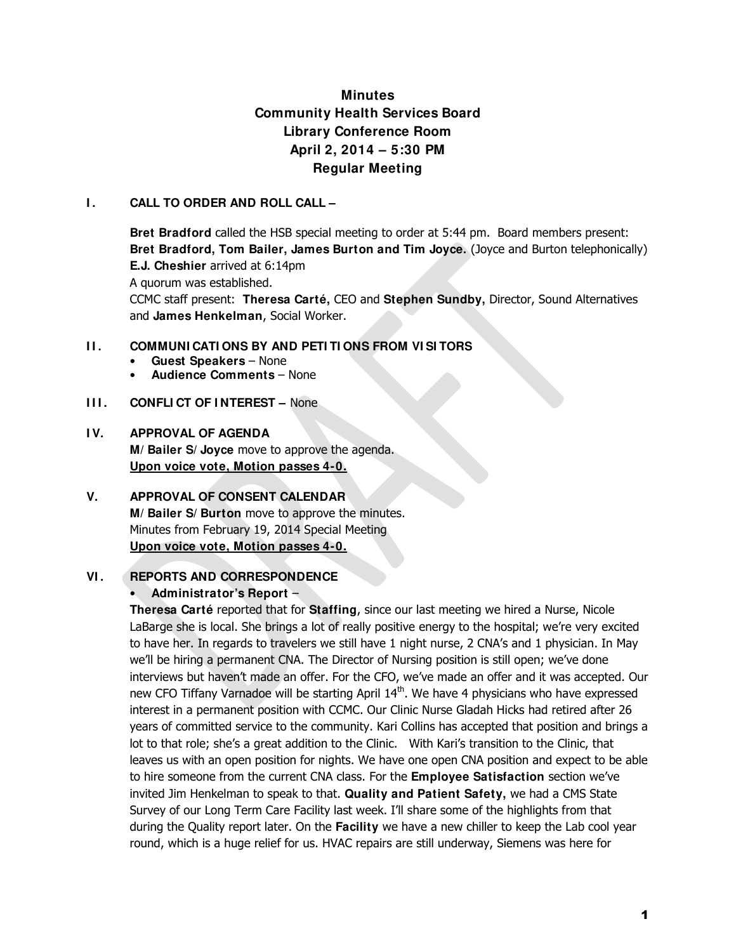# **Minutes Community Health Services Board Library Conference Room April 2, 2014 – 5:30 PM Regular Meeting**

## **I . CALL TO ORDER AND ROLL CALL –**

**Bret Bradford** called the HSB special meeting to order at 5:44 pm. Board members present: **Bret Bradford, Tom Bailer, James Burton and Tim Joyce.** (Joyce and Burton telephonically) **E.J. Cheshier** arrived at 6:14pm A quorum was established. CCMC staff present: **Theresa Carté,** CEO and **Stephen Sundby,** Director, Sound Alternatives and **James Henkelman**, Social Worker.

## **I I . COMMUNI CATI ONS BY AND PETI TI ONS FROM VI SI TORS**

- **Guest Speakers**  None
- **Audience Comments**  None

## **III. CONFLICT OF INTEREST – None**

## **I V. APPROVAL OF AGENDA**

**M/ Bailer S/ Joyce** move to approve the agenda. **Upon voice vote, Motion passes 4-0.**

## **V. APPROVAL OF CONSENT CALENDAR M/ Bailer S/ Burton** move to approve the minutes. Minutes from February 19, 2014 Special Meeting **Upon voice vote, Motion passes 4-0.**

## **VI . REPORTS AND CORRESPONDENCE**

## • **Administrator's Report** –

**Theresa Carté** reported that for **Staffing**, since our last meeting we hired a Nurse, Nicole LaBarge she is local. She brings a lot of really positive energy to the hospital; we're very excited to have her. In regards to travelers we still have 1 night nurse, 2 CNA's and 1 physician. In May we'll be hiring a permanent CNA. The Director of Nursing position is still open; we've done interviews but haven't made an offer. For the CFO, we've made an offer and it was accepted. Our new CFO Tiffany Varnadoe will be starting April  $14<sup>th</sup>$ . We have 4 physicians who have expressed interest in a permanent position with CCMC. Our Clinic Nurse Gladah Hicks had retired after 26 years of committed service to the community. Kari Collins has accepted that position and brings a lot to that role; she's a great addition to the Clinic. With Kari's transition to the Clinic, that leaves us with an open position for nights. We have one open CNA position and expect to be able to hire someone from the current CNA class. For the **Employee Satisfaction** section we've invited Jim Henkelman to speak to that. **Quality and Patient Safety,** we had a CMS State Survey of our Long Term Care Facility last week. I'll share some of the highlights from that during the Quality report later. On the **Facility** we have a new chiller to keep the Lab cool year round, which is a huge relief for us. HVAC repairs are still underway, Siemens was here for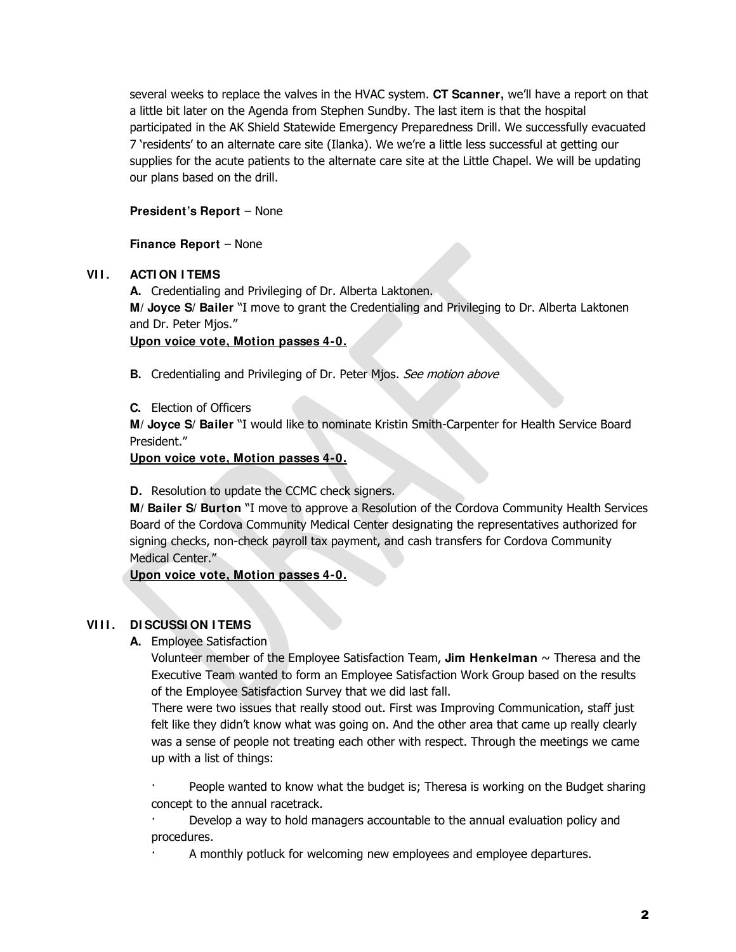several weeks to replace the valves in the HVAC system. **CT Scanner,** we'll have a report on that a little bit later on the Agenda from Stephen Sundby. The last item is that the hospital participated in the AK Shield Statewide Emergency Preparedness Drill. We successfully evacuated 7 'residents' to an alternate care site (Ilanka). We we're a little less successful at getting our supplies for the acute patients to the alternate care site at the Little Chapel. We will be updating our plans based on the drill.

## **President's Report** – None

**Finance Report** – None

## **VI I . ACTI ON I TEMS**

**A.** Credentialing and Privileging of Dr. Alberta Laktonen. **M/ Joyce S/ Bailer** "I move to grant the Credentialing and Privileging to Dr. Alberta Laktonen and Dr. Peter Mjos."

## **Upon voice vote, Motion passes 4-0.**

**B.** Credentialing and Privileging of Dr. Peter Mjos. See motion above

## **C.** Election of Officers

**M/ Joyce S/ Bailer** "I would like to nominate Kristin Smith-Carpenter for Health Service Board President."

## **Upon voice vote, Motion passes 4-0.**

**D.** Resolution to update the CCMC check signers.

**M/ Bailer S/ Burton** "I move to approve a Resolution of the Cordova Community Health Services Board of the Cordova Community Medical Center designating the representatives authorized for signing checks, non-check payroll tax payment, and cash transfers for Cordova Community Medical Center."

**Upon voice vote, Motion passes 4-0.**

## **VI I I . DI SCUSSI ON I TEMS**

**A.** Employee Satisfaction

Volunteer member of the Employee Satisfaction Team, **Jim Henkelman**  $\sim$  Theresa and the Executive Team wanted to form an Employee Satisfaction Work Group based on the results of the Employee Satisfaction Survey that we did last fall.

There were two issues that really stood out. First was Improving Communication, staff just felt like they didn't know what was going on. And the other area that came up really clearly was a sense of people not treating each other with respect. Through the meetings we came up with a list of things:

People wanted to know what the budget is; Theresa is working on the Budget sharing concept to the annual racetrack.

· Develop a way to hold managers accountable to the annual evaluation policy and procedures.

A monthly potluck for welcoming new employees and employee departures.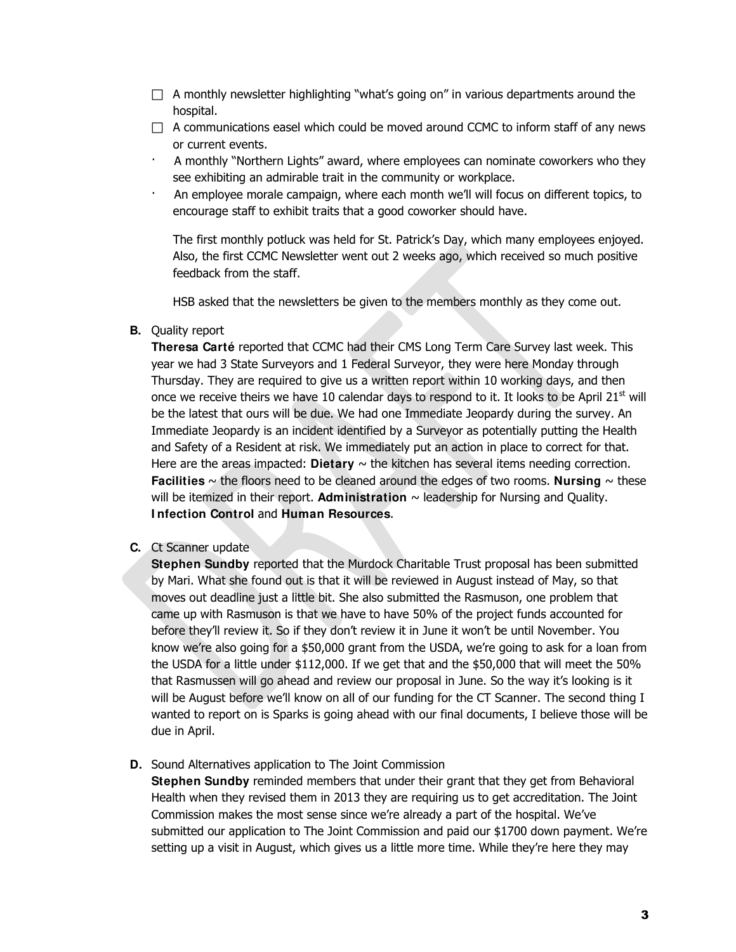- $\Box$  A monthly newsletter highlighting "what's going on" in various departments around the hospital.
- $\Box$  A communications easel which could be moved around CCMC to inform staff of any news or current events.
- · A monthly "Northern Lights" award, where employees can nominate coworkers who they see exhibiting an admirable trait in the community or workplace.
- · An employee morale campaign, where each month we'll will focus on different topics, to encourage staff to exhibit traits that a good coworker should have.

The first monthly potluck was held for St. Patrick's Day, which many employees enjoyed. Also, the first CCMC Newsletter went out 2 weeks ago, which received so much positive feedback from the staff.

HSB asked that the newsletters be given to the members monthly as they come out.

## **B.** Quality report

**Theresa Carté** reported that CCMC had their CMS Long Term Care Survey last week. This year we had 3 State Surveyors and 1 Federal Surveyor, they were here Monday through Thursday. They are required to give us a written report within 10 working days, and then once we receive theirs we have 10 calendar days to respond to it. It looks to be April  $21<sup>st</sup>$  will be the latest that ours will be due. We had one Immediate Jeopardy during the survey. An Immediate Jeopardy is an incident identified by a Surveyor as potentially putting the Health and Safety of a Resident at risk. We immediately put an action in place to correct for that. Here are the areas impacted: **Dietary**  $\sim$  the kitchen has several items needing correction. **Facilities**  $\sim$  the floors need to be cleaned around the edges of two rooms. **Nursing**  $\sim$  these will be itemized in their report. **Administration**  $\sim$  leadership for Nursing and Ouality. **I nfection Control** and **Human Resources**.

#### **C.** Ct Scanner update

**Stephen Sundby** reported that the Murdock Charitable Trust proposal has been submitted by Mari. What she found out is that it will be reviewed in August instead of May, so that moves out deadline just a little bit. She also submitted the Rasmuson, one problem that came up with Rasmuson is that we have to have 50% of the project funds accounted for before they'll review it. So if they don't review it in June it won't be until November. You know we're also going for a \$50,000 grant from the USDA, we're going to ask for a loan from the USDA for a little under \$112,000. If we get that and the \$50,000 that will meet the 50% that Rasmussen will go ahead and review our proposal in June. So the way it's looking is it will be August before we'll know on all of our funding for the CT Scanner. The second thing I wanted to report on is Sparks is going ahead with our final documents, I believe those will be due in April.

## **D.** Sound Alternatives application to The Joint Commission

**Stephen Sundby** reminded members that under their grant that they get from Behavioral Health when they revised them in 2013 they are requiring us to get accreditation. The Joint Commission makes the most sense since we're already a part of the hospital. We've submitted our application to The Joint Commission and paid our \$1700 down payment. We're setting up a visit in August, which gives us a little more time. While they're here they may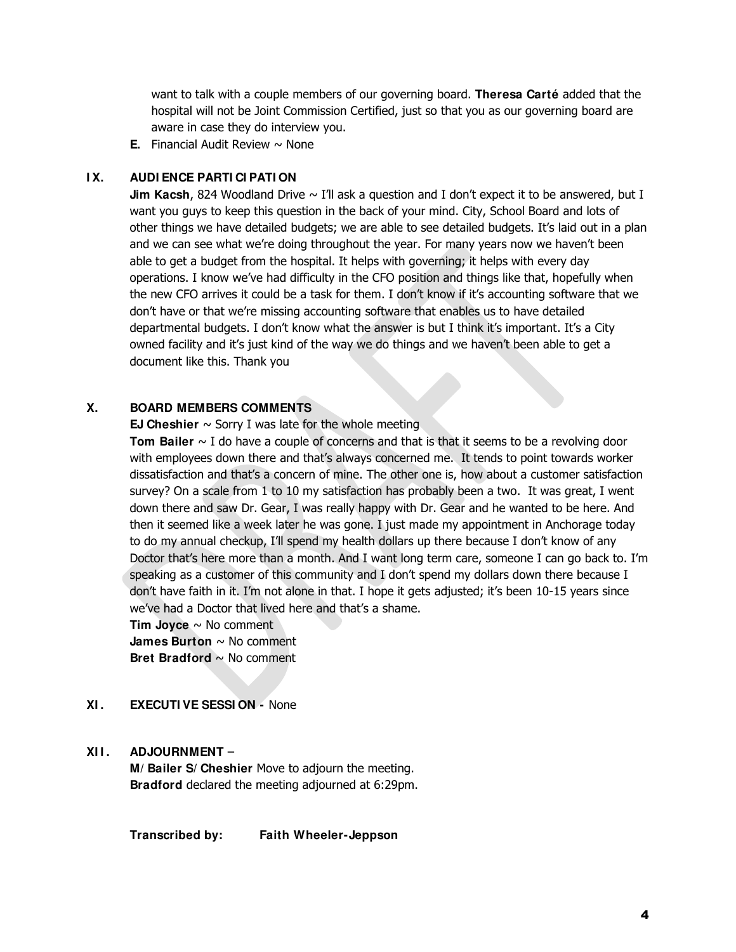want to talk with a couple members of our governing board. **Theresa Carté** added that the hospital will not be Joint Commission Certified, just so that you as our governing board are aware in case they do interview you.

**E.** Financial Audit Review  $\sim$  None

## **I X. AUDI ENCE PARTI CI PATI ON**

**Jim Kacsh**, 824 Woodland Drive ~ I'll ask a question and I don't expect it to be answered, but I want you guys to keep this question in the back of your mind. City, School Board and lots of other things we have detailed budgets; we are able to see detailed budgets. It's laid out in a plan and we can see what we're doing throughout the year. For many years now we haven't been able to get a budget from the hospital. It helps with governing; it helps with every day operations. I know we've had difficulty in the CFO position and things like that, hopefully when the new CFO arrives it could be a task for them. I don't know if it's accounting software that we don't have or that we're missing accounting software that enables us to have detailed departmental budgets. I don't know what the answer is but I think it's important. It's a City owned facility and it's just kind of the way we do things and we haven't been able to get a document like this. Thank you

## **X. BOARD MEMBERS COMMENTS**

#### **EJ Cheshier**  $\sim$  Sorry I was late for the whole meeting

**Tom Bailer** ~ I do have a couple of concerns and that is that it seems to be a revolving door with employees down there and that's always concerned me. It tends to point towards worker dissatisfaction and that's a concern of mine. The other one is, how about a customer satisfaction survey? On a scale from 1 to 10 my satisfaction has probably been a two. It was great, I went down there and saw Dr. Gear, I was really happy with Dr. Gear and he wanted to be here. And then it seemed like a week later he was gone. I just made my appointment in Anchorage today to do my annual checkup, I'll spend my health dollars up there because I don't know of any Doctor that's here more than a month. And I want long term care, someone I can go back to. I'm speaking as a customer of this community and I don't spend my dollars down there because I don't have faith in it. I'm not alone in that. I hope it gets adjusted; it's been 10-15 years since we've had a Doctor that lived here and that's a shame.

**Tim Joyce** ~ No comment **James Burton** ~ No comment **Bret Bradford** ~ No comment

## **XI . EXECUTI VE SESSI ON -** None

## **XI I . ADJOURNMENT** –

**M/ Bailer S/ Cheshier** Move to adjourn the meeting. **Bradford** declared the meeting adjourned at 6:29pm.

**Transcribed by: Faith Wheeler-Jeppson**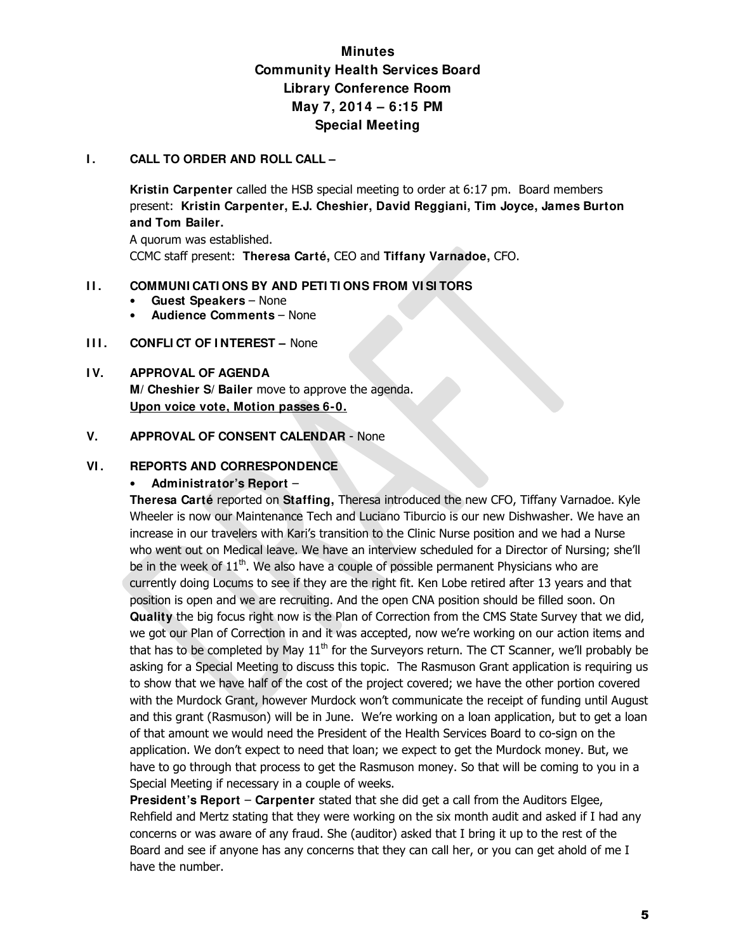# **Minutes Community Health Services Board Library Conference Room May 7, 2014 – 6:15 PM Special Meeting**

## **I.** CALL TO ORDER AND ROLL CALL –

**Kristin Carpenter** called the HSB special meeting to order at 6:17 pm. Board members present: **Kristin Carpenter, E.J. Cheshier, David Reggiani, Tim Joyce, James Burton and Tom Bailer.** 

A quorum was established. CCMC staff present: **Theresa Carté,** CEO and **Tiffany Varnadoe,** CFO.

## **II. COMMUNI CATI ONS BY AND PETI TI ONS FROM VI SI TORS**

- **Guest Speakers**  None
- **Audience Comments**  None
- **III. CONFLICT OF INTEREST –** None

## **I V. APPROVAL OF AGENDA M/ Cheshier S/ Bailer** move to approve the agenda. **Upon voice vote, Motion passes 6-0.**

## **V. APPROVAL OF CONSENT CALENDAR** - None

## **VI . REPORTS AND CORRESPONDENCE**

## • **Administrator's Report** –

**Theresa Carté** reported on **Staffing,** Theresa introduced the new CFO, Tiffany Varnadoe. Kyle Wheeler is now our Maintenance Tech and Luciano Tiburcio is our new Dishwasher. We have an increase in our travelers with Kari's transition to the Clinic Nurse position and we had a Nurse who went out on Medical leave. We have an interview scheduled for a Director of Nursing; she'll be in the week of  $11<sup>th</sup>$ . We also have a couple of possible permanent Physicians who are currently doing Locums to see if they are the right fit. Ken Lobe retired after 13 years and that position is open and we are recruiting. And the open CNA position should be filled soon. On **Quality** the big focus right now is the Plan of Correction from the CMS State Survey that we did, we got our Plan of Correction in and it was accepted, now we're working on our action items and that has to be completed by May  $11<sup>th</sup>$  for the Surveyors return. The CT Scanner, we'll probably be asking for a Special Meeting to discuss this topic. The Rasmuson Grant application is requiring us to show that we have half of the cost of the project covered; we have the other portion covered with the Murdock Grant, however Murdock won't communicate the receipt of funding until August and this grant (Rasmuson) will be in June. We're working on a loan application, but to get a loan of that amount we would need the President of the Health Services Board to co-sign on the application. We don't expect to need that loan; we expect to get the Murdock money. But, we have to go through that process to get the Rasmuson money. So that will be coming to you in a Special Meeting if necessary in a couple of weeks.

**President's Report** – **Carpenter** stated that she did get a call from the Auditors Elgee, Rehfield and Mertz stating that they were working on the six month audit and asked if I had any concerns or was aware of any fraud. She (auditor) asked that I bring it up to the rest of the Board and see if anyone has any concerns that they can call her, or you can get ahold of me I have the number.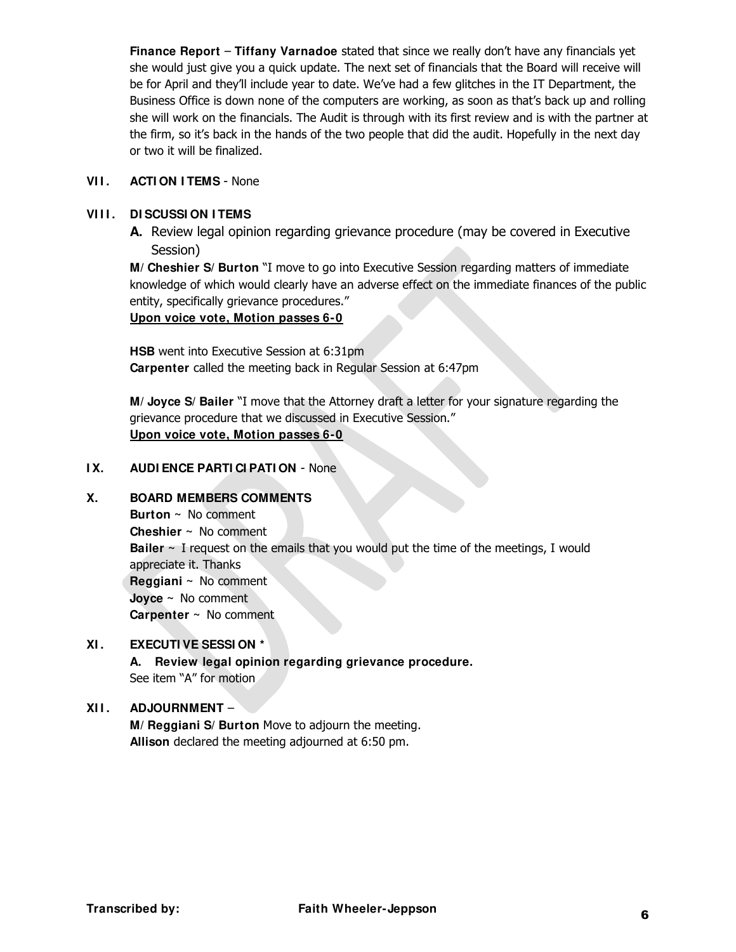**Finance Report** – **Tiffany Varnadoe** stated that since we really don't have any financials yet she would just give you a quick update. The next set of financials that the Board will receive will be for April and they'll include year to date. We've had a few glitches in the IT Department, the Business Office is down none of the computers are working, as soon as that's back up and rolling she will work on the financials. The Audit is through with its first review and is with the partner at the firm, so it's back in the hands of the two people that did the audit. Hopefully in the next day or two it will be finalized.

## **VII. ACTION ITEMS** - None

## **VI I I . DI SCUSSI ON I TEMS**

**A.** Review legal opinion regarding grievance procedure (may be covered in Executive Session)

**M/ Cheshier S/ Burton** "I move to go into Executive Session regarding matters of immediate knowledge of which would clearly have an adverse effect on the immediate finances of the public entity, specifically grievance procedures."

#### **Upon voice vote, Motion passes 6-0**

**HSB** went into Executive Session at 6:31pm **Carpenter** called the meeting back in Regular Session at 6:47pm

**M/ Joyce S/ Bailer** "I move that the Attorney draft a letter for your signature regarding the grievance procedure that we discussed in Executive Session." **Upon voice vote, Motion passes 6-0**

#### **I X. AUDI ENCE PARTI CI PATI ON** - None

## **X. BOARD MEMBERS COMMENTS**

**Burton ~** No comment **Cheshier ~** No comment **Bailer ~** I request on the emails that you would put the time of the meetings, I would appreciate it. Thanks **Reggiani ~** No comment **Joyce ~** No comment **Carpenter ~** No comment

## **XI . EXECUTI VE SESSI ON \***

**A. Review legal opinion regarding grievance procedure.** See item "A" for motion

## **XI I . ADJOURNMENT** –

**M/ Reggiani S/ Burton** Move to adjourn the meeting. **Allison** declared the meeting adjourned at 6:50 pm.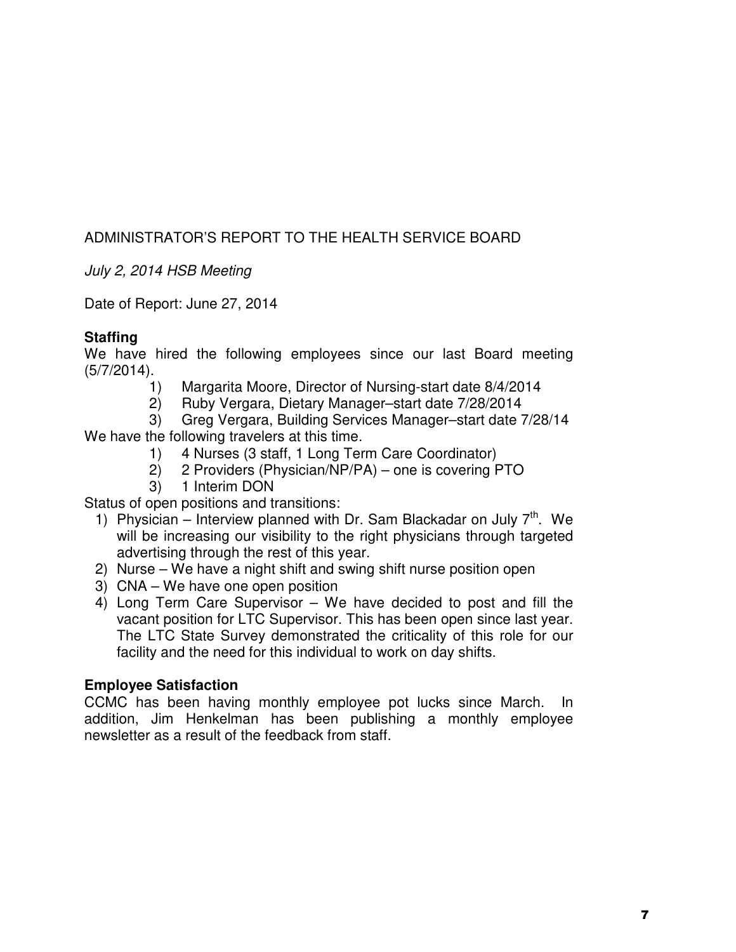# ADMINISTRATOR'S REPORT TO THE HEALTH SERVICE BOARD

July 2, 2014 HSB Meeting

Date of Report: June 27, 2014

## **Staffing**

We have hired the following employees since our last Board meeting (5/7/2014).

- 1) Margarita Moore, Director of Nursing-start date 8/4/2014
- 2) Ruby Vergara, Dietary Manager–start date 7/28/2014

3) Greg Vergara, Building Services Manager–start date 7/28/14

We have the following travelers at this time.

- 1) 4 Nurses (3 staff, 1 Long Term Care Coordinator)
- 2) 2 Providers (Physician/NP/PA) one is covering PTO
- 3) 1 Interim DON

Status of open positions and transitions:

- 1) Physician Interview planned with Dr. Sam Blackadar on July  $7<sup>th</sup>$ . We will be increasing our visibility to the right physicians through targeted advertising through the rest of this year.
- 2) Nurse We have a night shift and swing shift nurse position open
- 3) CNA We have one open position
- 4) Long Term Care Supervisor We have decided to post and fill the vacant position for LTC Supervisor. This has been open since last year. The LTC State Survey demonstrated the criticality of this role for our facility and the need for this individual to work on day shifts.

# **Employee Satisfaction**

CCMC has been having monthly employee pot lucks since March. In addition, Jim Henkelman has been publishing a monthly employee newsletter as a result of the feedback from staff.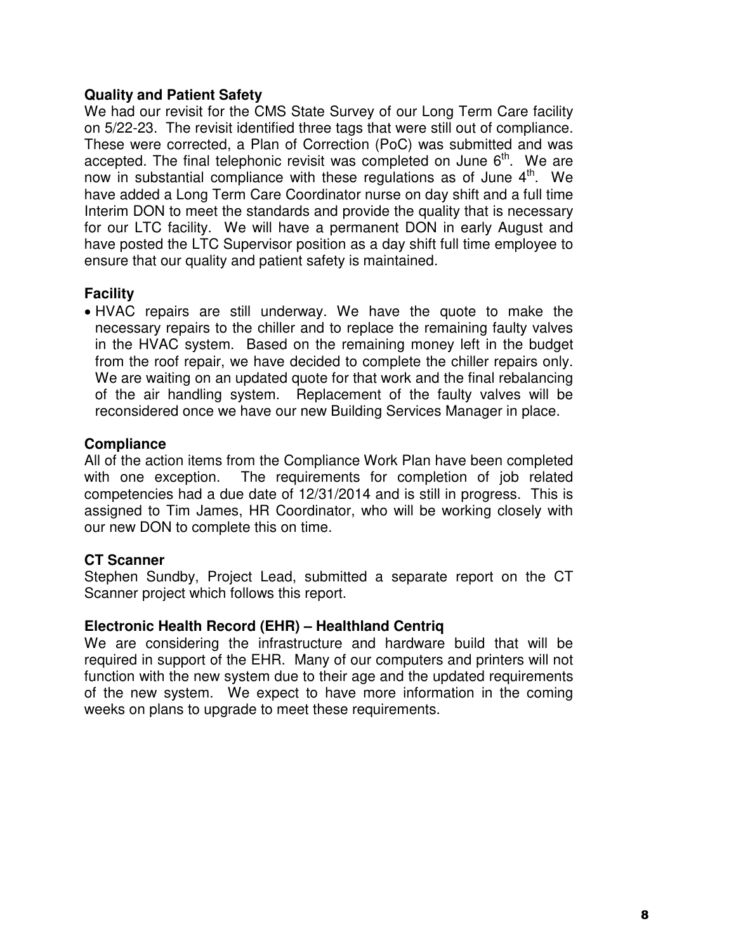## **Quality and Patient Safety**

We had our revisit for the CMS State Survey of our Long Term Care facility on 5/22-23. The revisit identified three tags that were still out of compliance. These were corrected, a Plan of Correction (PoC) was submitted and was accepted. The final telephonic revisit was completed on June  $6<sup>th</sup>$ . We are now in substantial compliance with these regulations as of June 4<sup>th</sup>. We have added a Long Term Care Coordinator nurse on day shift and a full time Interim DON to meet the standards and provide the quality that is necessary for our LTC facility. We will have a permanent DON in early August and have posted the LTC Supervisor position as a day shift full time employee to ensure that our quality and patient safety is maintained.

# **Facility**

 HVAC repairs are still underway. We have the quote to make the necessary repairs to the chiller and to replace the remaining faulty valves in the HVAC system. Based on the remaining money left in the budget from the roof repair, we have decided to complete the chiller repairs only. We are waiting on an updated quote for that work and the final rebalancing of the air handling system. Replacement of the faulty valves will be reconsidered once we have our new Building Services Manager in place.

# **Compliance**

All of the action items from the Compliance Work Plan have been completed with one exception. The requirements for completion of job related competencies had a due date of 12/31/2014 and is still in progress. This is assigned to Tim James, HR Coordinator, who will be working closely with our new DON to complete this on time.

# **CT Scanner**

Stephen Sundby, Project Lead, submitted a separate report on the CT Scanner project which follows this report.

# **Electronic Health Record (EHR) – Healthland Centriq**

We are considering the infrastructure and hardware build that will be required in support of the EHR. Many of our computers and printers will not function with the new system due to their age and the updated requirements of the new system. We expect to have more information in the coming weeks on plans to upgrade to meet these requirements.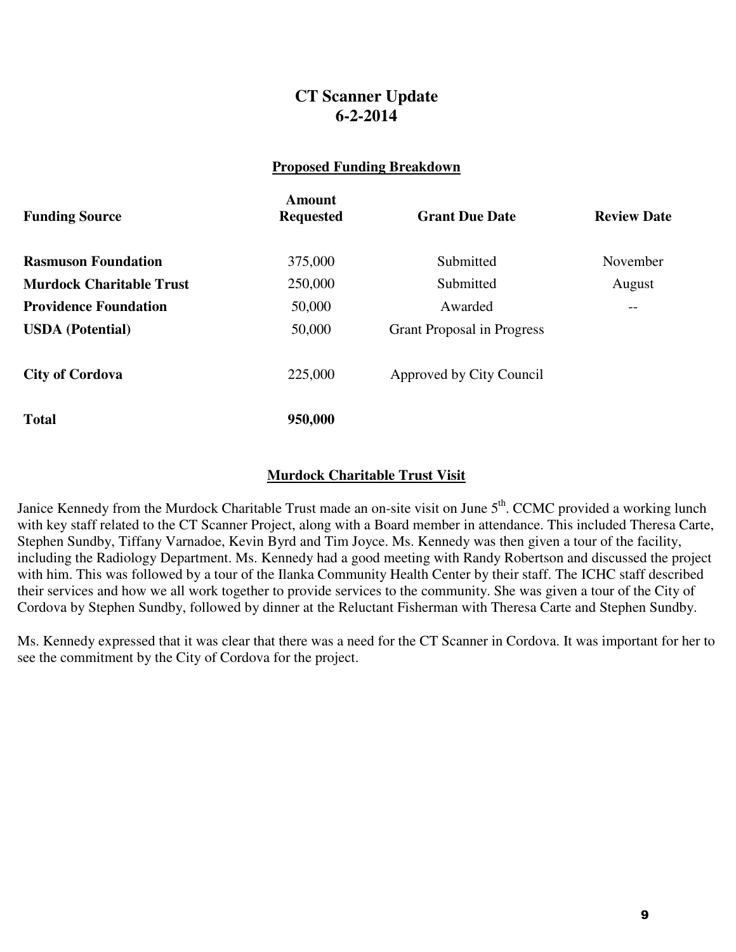# **CT Scanner Update 6-2-2014**

## **Proposed Funding Breakdown**

| <b>Funding Source</b>           | Amount<br><b>Requested</b> | <b>Grant Due Date</b>             | <b>Review Date</b> |
|---------------------------------|----------------------------|-----------------------------------|--------------------|
| <b>Rasmuson Foundation</b>      | 375,000                    | Submitted                         | November           |
| <b>Murdock Charitable Trust</b> | 250,000                    | Submitted                         | August             |
| <b>Providence Foundation</b>    | 50,000                     | Awarded                           | --                 |
| <b>USDA</b> (Potential)         | 50,000                     | <b>Grant Proposal in Progress</b> |                    |
| <b>City of Cordova</b>          | 225,000                    | Approved by City Council          |                    |
| <b>Total</b>                    | 950,000                    |                                   |                    |

## **Murdock Charitable Trust Visit**

Janice Kennedy from the Murdock Charitable Trust made an on-site visit on June 5<sup>th</sup>. CCMC provided a working lunch with key staff related to the CT Scanner Project, along with a Board member in attendance. This included Theresa Carte, Stephen Sundby, Tiffany Varnadoe, Kevin Byrd and Tim Joyce. Ms. Kennedy was then given a tour of the facility, including the Radiology Department. Ms. Kennedy had a good meeting with Randy Robertson and discussed the project with him. This was followed by a tour of the Ilanka Community Health Center by their staff. The ICHC staff described their services and how we all work together to provide services to the community. She was given a tour of the City of Cordova by Stephen Sundby, followed by dinner at the Reluctant Fisherman with Theresa Carte and Stephen Sundby.

Ms. Kennedy expressed that it was clear that there was a need for the CT Scanner in Cordova. It was important for her to see the commitment by the City of Cordova for the project.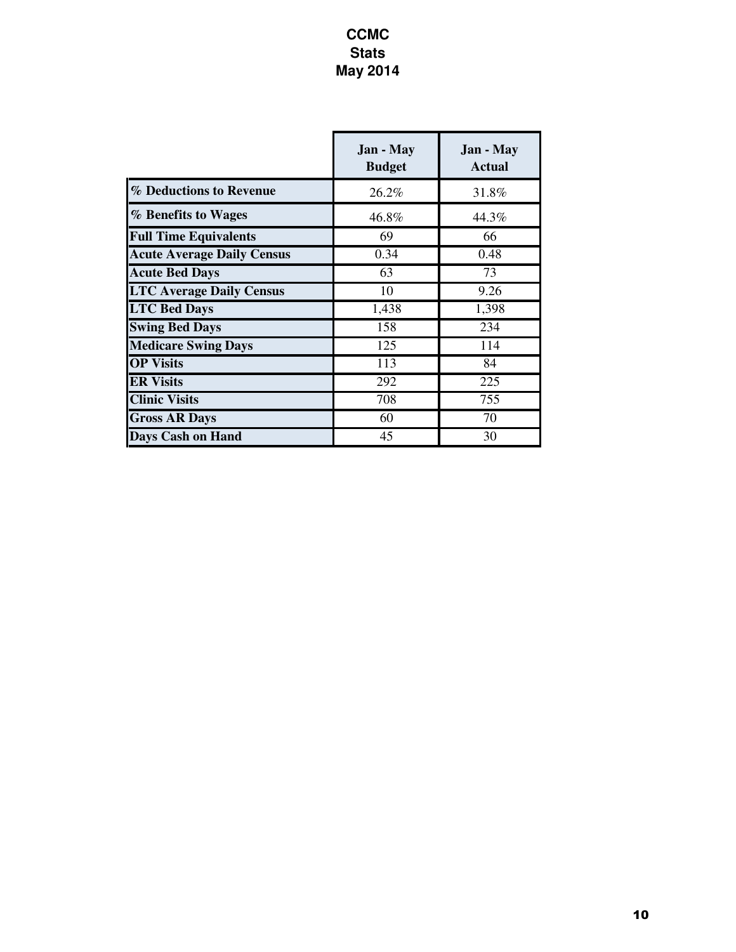# **CCMC Stats May 2014**

|                                   | <b>Jan</b> - May<br><b>Budget</b> | <b>Jan</b> - May<br><b>Actual</b> |
|-----------------------------------|-----------------------------------|-----------------------------------|
| % Deductions to Revenue           | 26.2%                             | 31.8%                             |
| % Benefits to Wages               | 46.8%                             | 44.3%                             |
| <b>Full Time Equivalents</b>      | 69                                | 66                                |
| <b>Acute Average Daily Census</b> | 0.34                              | 0.48                              |
| <b>Acute Bed Days</b>             | 63                                | 73                                |
| <b>LTC Average Daily Census</b>   | 10                                | 9.26                              |
| <b>LTC Bed Days</b>               | 1,438                             | 1,398                             |
| <b>Swing Bed Days</b>             | 158                               | 234                               |
| <b>Medicare Swing Days</b>        | 125                               | 114                               |
| <b>OP Visits</b>                  | 113                               | 84                                |
| <b>ER Visits</b>                  | 292                               | 225                               |
| <b>Clinic Visits</b>              | 708                               | 755                               |
| <b>Gross AR Days</b>              | 60                                | 70                                |
| <b>Days Cash on Hand</b>          | 45                                | 30                                |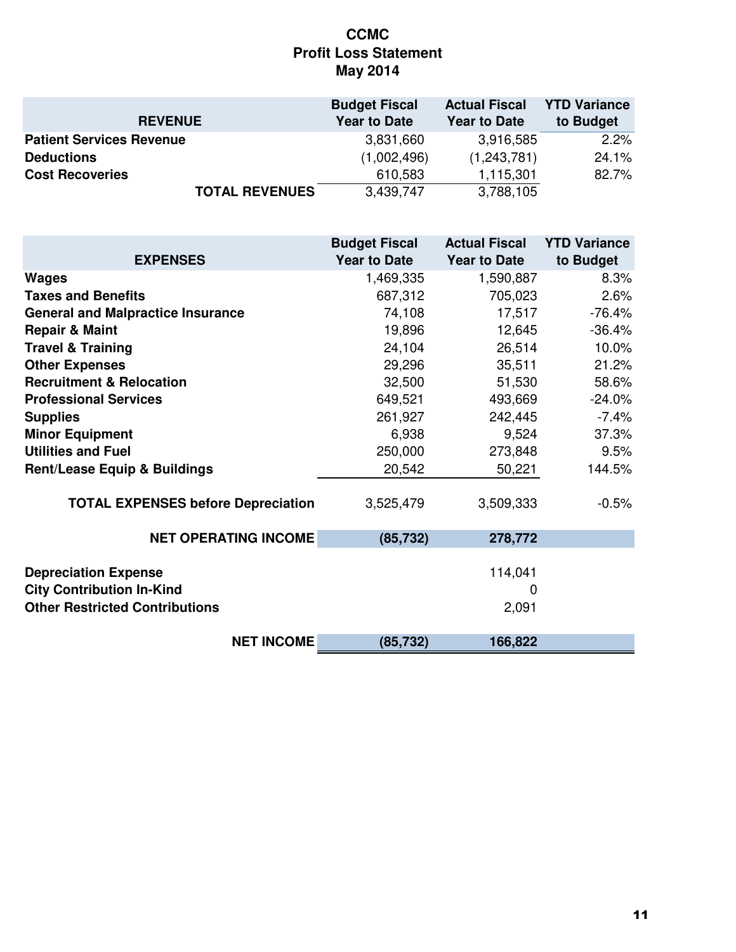# **CCMC Profit Loss Statement May 2014**

|                                 | <b>Budget Fiscal</b> | <b>Actual Fiscal</b> | <b>YTD Variance</b> |
|---------------------------------|----------------------|----------------------|---------------------|
| <b>REVENUE</b>                  | <b>Year to Date</b>  | <b>Year to Date</b>  | to Budget           |
| <b>Patient Services Revenue</b> | 3,831,660            | 3,916,585            | 2.2%                |
| <b>Deductions</b>               | (1,002,496)          | (1,243,781)          | 24.1%               |
| <b>Cost Recoveries</b>          | 610,583              | 1,115,301            | 82.7%               |
| <b>TOTAL REVENUES</b>           | 3,439,747            | 3,788,105            |                     |

| <b>EXPENSES</b>                           | <b>Budget Fiscal</b><br><b>Year to Date</b> | <b>Actual Fiscal</b><br><b>Year to Date</b> | <b>YTD Variance</b><br>to Budget |
|-------------------------------------------|---------------------------------------------|---------------------------------------------|----------------------------------|
| <b>Wages</b>                              | 1,469,335                                   | 1,590,887                                   | 8.3%                             |
| <b>Taxes and Benefits</b>                 | 687,312                                     | 705,023                                     | 2.6%                             |
| <b>General and Malpractice Insurance</b>  | 74,108                                      | 17,517                                      | $-76.4%$                         |
| <b>Repair &amp; Maint</b>                 | 19,896                                      | 12,645                                      | $-36.4%$                         |
| <b>Travel &amp; Training</b>              | 24,104                                      | 26,514                                      | 10.0%                            |
| <b>Other Expenses</b>                     | 29,296                                      | 35,511                                      | 21.2%                            |
| <b>Recruitment &amp; Relocation</b>       | 32,500                                      | 51,530                                      | 58.6%                            |
| <b>Professional Services</b>              | 649,521                                     | 493,669                                     | $-24.0%$                         |
| <b>Supplies</b>                           | 261,927                                     | 242,445                                     | $-7.4%$                          |
| <b>Minor Equipment</b>                    | 6,938                                       | 9,524                                       | 37.3%                            |
| <b>Utilities and Fuel</b>                 | 250,000                                     | 273,848                                     | 9.5%                             |
| <b>Rent/Lease Equip &amp; Buildings</b>   | 20,542                                      | 50,221                                      | 144.5%                           |
| <b>TOTAL EXPENSES before Depreciation</b> | 3,525,479                                   | 3,509,333                                   | $-0.5%$                          |
| <b>NET OPERATING INCOME</b>               | (85, 732)                                   | 278,772                                     |                                  |
| <b>Depreciation Expense</b>               |                                             | 114,041                                     |                                  |
| <b>City Contribution In-Kind</b>          |                                             | $\mathbf 0$                                 |                                  |
| <b>Other Restricted Contributions</b>     |                                             | 2,091                                       |                                  |
| <b>NET INCOME</b>                         | (85, 732)                                   | 166,822                                     |                                  |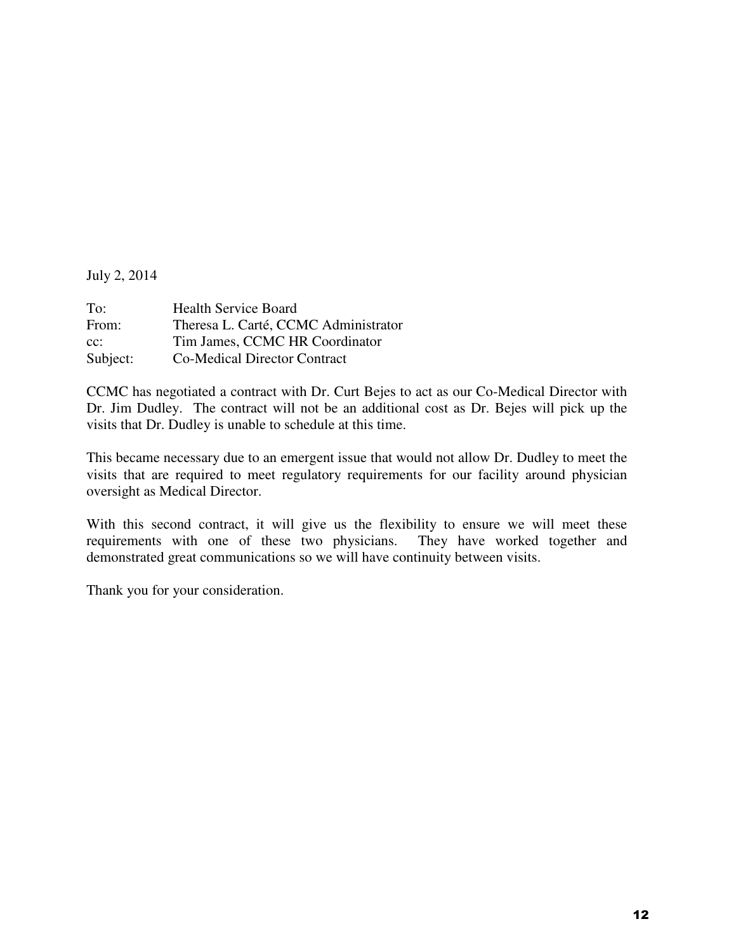July 2, 2014

| To:      | <b>Health Service Board</b>          |
|----------|--------------------------------------|
| From:    | Theresa L. Carté, CCMC Administrator |
| $cc$ :   | Tim James, CCMC HR Coordinator       |
| Subject: | <b>Co-Medical Director Contract</b>  |

CCMC has negotiated a contract with Dr. Curt Bejes to act as our Co-Medical Director with Dr. Jim Dudley. The contract will not be an additional cost as Dr. Bejes will pick up the visits that Dr. Dudley is unable to schedule at this time.

This became necessary due to an emergent issue that would not allow Dr. Dudley to meet the visits that are required to meet regulatory requirements for our facility around physician oversight as Medical Director.

With this second contract, it will give us the flexibility to ensure we will meet these requirements with one of these two physicians. They have worked together and demonstrated great communications so we will have continuity between visits.

Thank you for your consideration.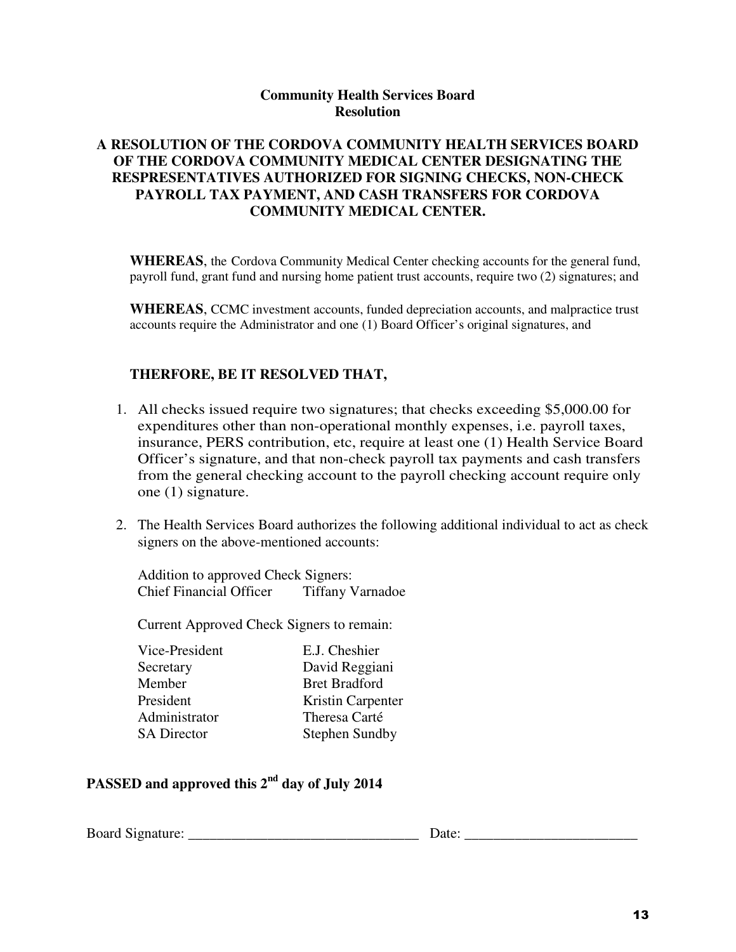## **Community Health Services Board Resolution**

## **A RESOLUTION OF THE CORDOVA COMMUNITY HEALTH SERVICES BOARD OF THE CORDOVA COMMUNITY MEDICAL CENTER DESIGNATING THE RESPRESENTATIVES AUTHORIZED FOR SIGNING CHECKS, NON-CHECK PAYROLL TAX PAYMENT, AND CASH TRANSFERS FOR CORDOVA COMMUNITY MEDICAL CENTER.**

**WHEREAS**, the Cordova Community Medical Center checking accounts for the general fund, payroll fund, grant fund and nursing home patient trust accounts, require two (2) signatures; and

**WHEREAS**, CCMC investment accounts, funded depreciation accounts, and malpractice trust accounts require the Administrator and one (1) Board Officer's original signatures, and

## **THERFORE, BE IT RESOLVED THAT,**

- 1. All checks issued require two signatures; that checks exceeding \$5,000.00 for expenditures other than non-operational monthly expenses, i.e. payroll taxes, insurance, PERS contribution, etc, require at least one (1) Health Service Board Officer's signature, and that non-check payroll tax payments and cash transfers from the general checking account to the payroll checking account require only one (1) signature.
- 2. The Health Services Board authorizes the following additional individual to act as check signers on the above-mentioned accounts:

Addition to approved Check Signers: Chief Financial Officer Tiffany Varnadoe

Current Approved Check Signers to remain:

| Vice-President     | E.J. Cheshier         |
|--------------------|-----------------------|
| Secretary          | David Reggiani        |
| Member             | <b>Bret Bradford</b>  |
| President          | Kristin Carpenter     |
| Administrator      | Theresa Carté         |
| <b>SA Director</b> | <b>Stephen Sundby</b> |
|                    |                       |

# **PASSED and approved this 2nd day of July 2014**

Board Signature: \_\_\_\_\_\_\_\_\_\_\_\_\_\_\_\_\_\_\_\_\_\_\_\_\_\_\_\_\_\_\_\_ Date: \_\_\_\_\_\_\_\_\_\_\_\_\_\_\_\_\_\_\_\_\_\_\_\_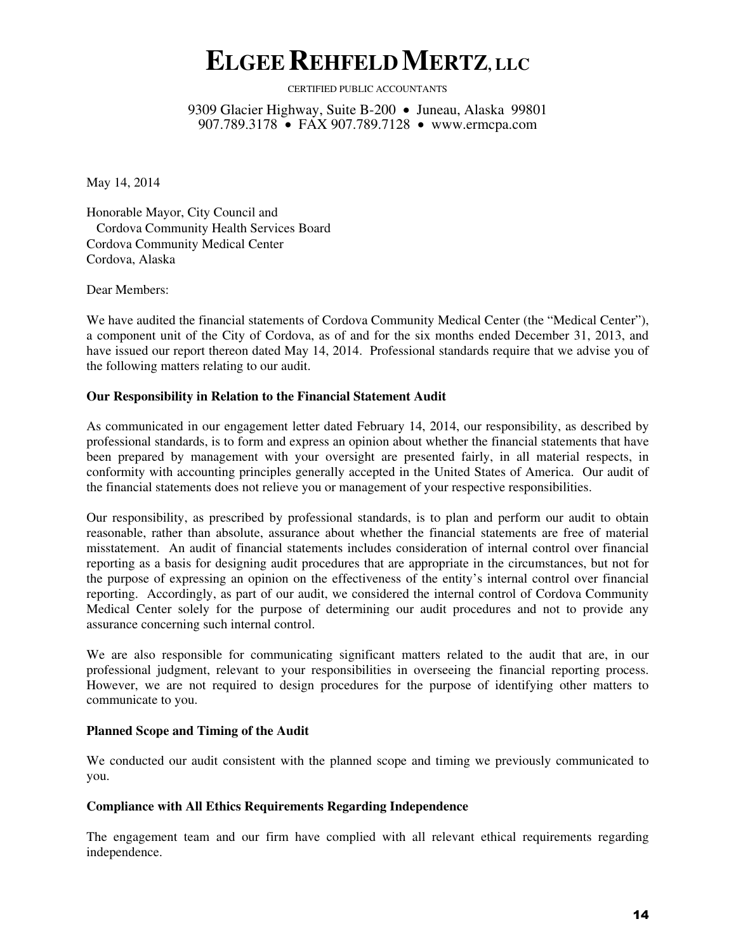# **ELGEEREHFELDMERTZ, LLC**

CERTIFIED PUBLIC ACCOUNTANTS

9309 Glacier Highway, Suite B-200 • Juneau, Alaska 99801 907.789.3178 • FAX 907.789.7128 • www.ermcpa.com

May 14, 2014

Honorable Mayor, City Council and Cordova Community Health Services Board Cordova Community Medical Center Cordova, Alaska

Dear Members:

We have audited the financial statements of Cordova Community Medical Center (the "Medical Center"), a component unit of the City of Cordova, as of and for the six months ended December 31, 2013, and have issued our report thereon dated May 14, 2014. Professional standards require that we advise you of the following matters relating to our audit.

#### **Our Responsibility in Relation to the Financial Statement Audit**

As communicated in our engagement letter dated February 14, 2014, our responsibility, as described by professional standards, is to form and express an opinion about whether the financial statements that have been prepared by management with your oversight are presented fairly, in all material respects, in conformity with accounting principles generally accepted in the United States of America. Our audit of the financial statements does not relieve you or management of your respective responsibilities.

Our responsibility, as prescribed by professional standards, is to plan and perform our audit to obtain reasonable, rather than absolute, assurance about whether the financial statements are free of material misstatement. An audit of financial statements includes consideration of internal control over financial reporting as a basis for designing audit procedures that are appropriate in the circumstances, but not for the purpose of expressing an opinion on the effectiveness of the entity's internal control over financial reporting. Accordingly, as part of our audit, we considered the internal control of Cordova Community Medical Center solely for the purpose of determining our audit procedures and not to provide any assurance concerning such internal control.

We are also responsible for communicating significant matters related to the audit that are, in our professional judgment, relevant to your responsibilities in overseeing the financial reporting process. However, we are not required to design procedures for the purpose of identifying other matters to communicate to you.

## **Planned Scope and Timing of the Audit**

We conducted our audit consistent with the planned scope and timing we previously communicated to you.

#### **Compliance with All Ethics Requirements Regarding Independence**

The engagement team and our firm have complied with all relevant ethical requirements regarding independence.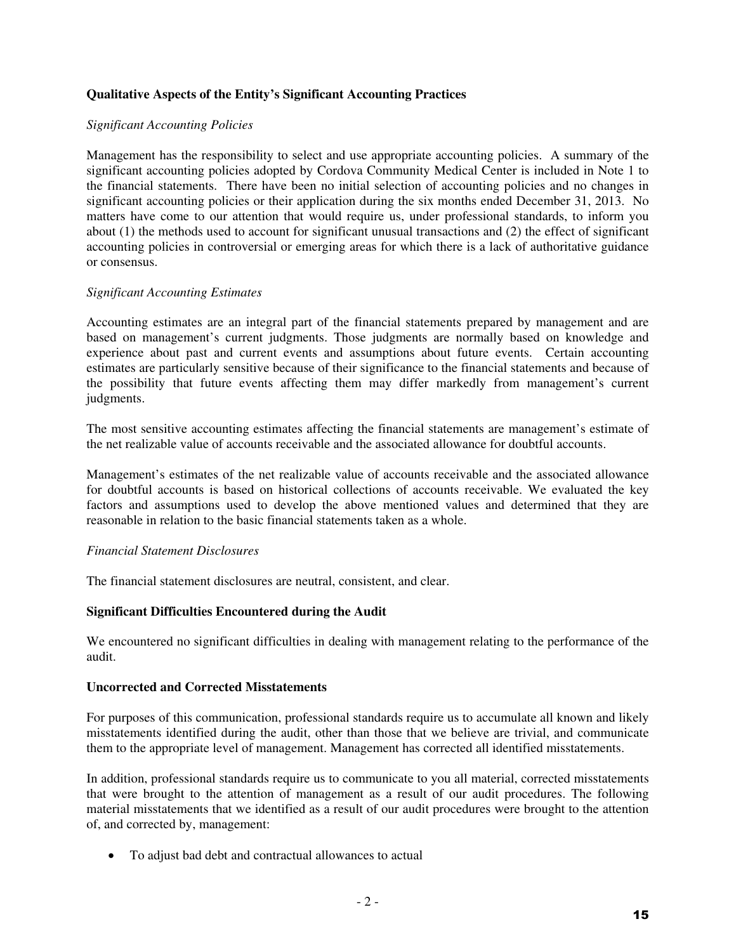## **Qualitative Aspects of the Entity's Significant Accounting Practices**

## *Significant Accounting Policies*

Management has the responsibility to select and use appropriate accounting policies. A summary of the significant accounting policies adopted by Cordova Community Medical Center is included in Note 1 to the financial statements. There have been no initial selection of accounting policies and no changes in significant accounting policies or their application during the six months ended December 31, 2013. No matters have come to our attention that would require us, under professional standards, to inform you about (1) the methods used to account for significant unusual transactions and (2) the effect of significant accounting policies in controversial or emerging areas for which there is a lack of authoritative guidance or consensus.

## *Significant Accounting Estimates*

Accounting estimates are an integral part of the financial statements prepared by management and are based on management's current judgments. Those judgments are normally based on knowledge and experience about past and current events and assumptions about future events. Certain accounting estimates are particularly sensitive because of their significance to the financial statements and because of the possibility that future events affecting them may differ markedly from management's current judgments.

The most sensitive accounting estimates affecting the financial statements are management's estimate of the net realizable value of accounts receivable and the associated allowance for doubtful accounts.

Management's estimates of the net realizable value of accounts receivable and the associated allowance for doubtful accounts is based on historical collections of accounts receivable. We evaluated the key factors and assumptions used to develop the above mentioned values and determined that they are reasonable in relation to the basic financial statements taken as a whole.

## *Financial Statement Disclosures*

The financial statement disclosures are neutral, consistent, and clear.

## **Significant Difficulties Encountered during the Audit**

We encountered no significant difficulties in dealing with management relating to the performance of the audit.

## **Uncorrected and Corrected Misstatements**

For purposes of this communication, professional standards require us to accumulate all known and likely misstatements identified during the audit, other than those that we believe are trivial, and communicate them to the appropriate level of management. Management has corrected all identified misstatements.

In addition, professional standards require us to communicate to you all material, corrected misstatements that were brought to the attention of management as a result of our audit procedures. The following material misstatements that we identified as a result of our audit procedures were brought to the attention of, and corrected by, management:

To adjust bad debt and contractual allowances to actual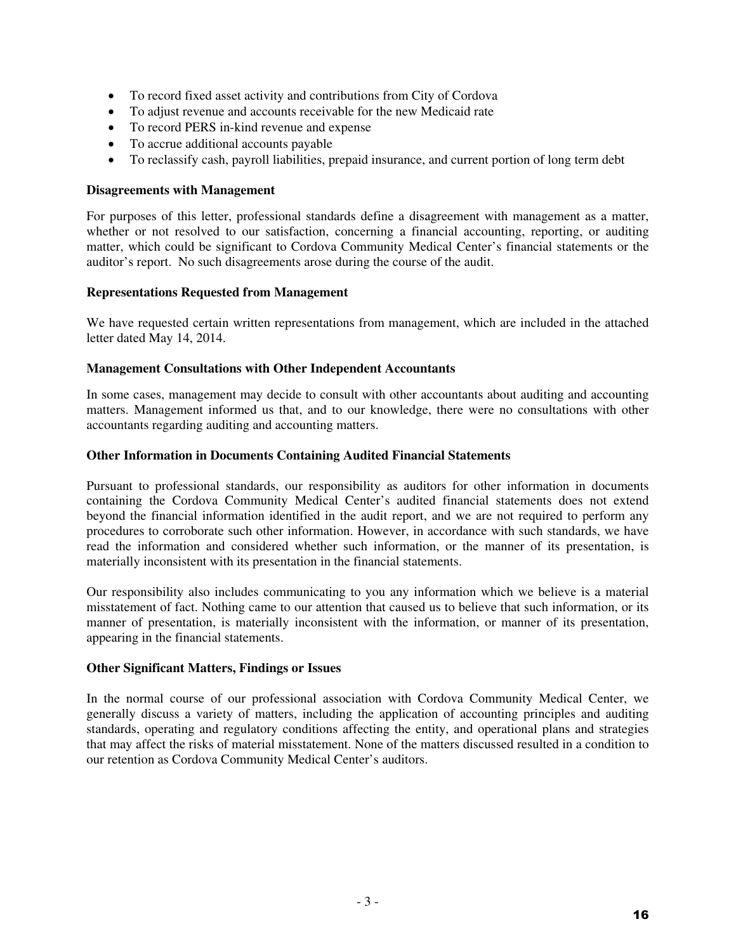- To record fixed asset activity and contributions from City of Cordova
- To adjust revenue and accounts receivable for the new Medicaid rate
- To record PERS in-kind revenue and expense
- To accrue additional accounts payable
- To reclassify cash, payroll liabilities, prepaid insurance, and current portion of long term debt

#### **Disagreements with Management**

For purposes of this letter, professional standards define a disagreement with management as a matter, whether or not resolved to our satisfaction, concerning a financial accounting, reporting, or auditing matter, which could be significant to Cordova Community Medical Center's financial statements or the auditor's report. No such disagreements arose during the course of the audit.

#### **Representations Requested from Management**

We have requested certain written representations from management, which are included in the attached letter dated May 14, 2014.

#### **Management Consultations with Other Independent Accountants**

In some cases, management may decide to consult with other accountants about auditing and accounting matters. Management informed us that, and to our knowledge, there were no consultations with other accountants regarding auditing and accounting matters.

#### **Other Information in Documents Containing Audited Financial Statements**

Pursuant to professional standards, our responsibility as auditors for other information in documents containing the Cordova Community Medical Center's audited financial statements does not extend beyond the financial information identified in the audit report, and we are not required to perform any procedures to corroborate such other information. However, in accordance with such standards, we have read the information and considered whether such information, or the manner of its presentation, is materially inconsistent with its presentation in the financial statements.

Our responsibility also includes communicating to you any information which we believe is a material misstatement of fact. Nothing came to our attention that caused us to believe that such information, or its manner of presentation, is materially inconsistent with the information, or manner of its presentation, appearing in the financial statements.

## **Other Significant Matters, Findings or Issues**

In the normal course of our professional association with Cordova Community Medical Center, we generally discuss a variety of matters, including the application of accounting principles and auditing standards, operating and regulatory conditions affecting the entity, and operational plans and strategies that may affect the risks of material misstatement. None of the matters discussed resulted in a condition to our retention as Cordova Community Medical Center's auditors.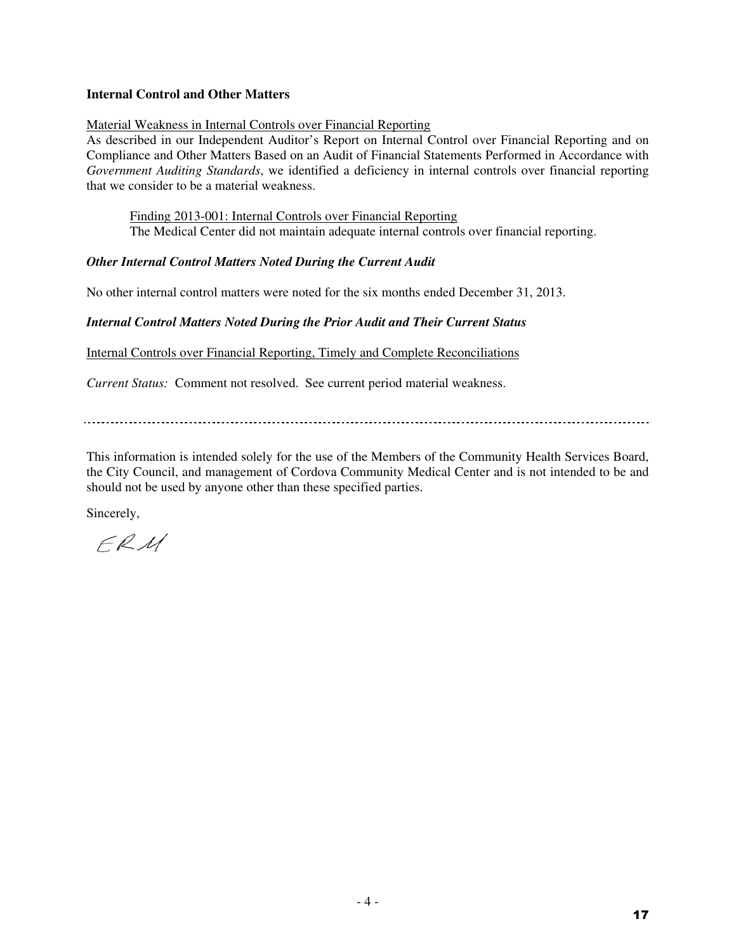## **Internal Control and Other Matters**

## Material Weakness in Internal Controls over Financial Reporting

As described in our Independent Auditor's Report on Internal Control over Financial Reporting and on Compliance and Other Matters Based on an Audit of Financial Statements Performed in Accordance with *Government Auditing Standards*, we identified a deficiency in internal controls over financial reporting that we consider to be a material weakness.

 Finding 2013-001: Internal Controls over Financial Reporting The Medical Center did not maintain adequate internal controls over financial reporting.

## *Other Internal Control Matters Noted During the Current Audit*

No other internal control matters were noted for the six months ended December 31, 2013.

## *Internal Control Matters Noted During the Prior Audit and Their Current Status*

Internal Controls over Financial Reporting, Timely and Complete Reconciliations

*Current Status:* Comment not resolved. See current period material weakness.

This information is intended solely for the use of the Members of the Community Health Services Board, the City Council, and management of Cordova Community Medical Center and is not intended to be and should not be used by anyone other than these specified parties.

Sincerely,

 $FRM$